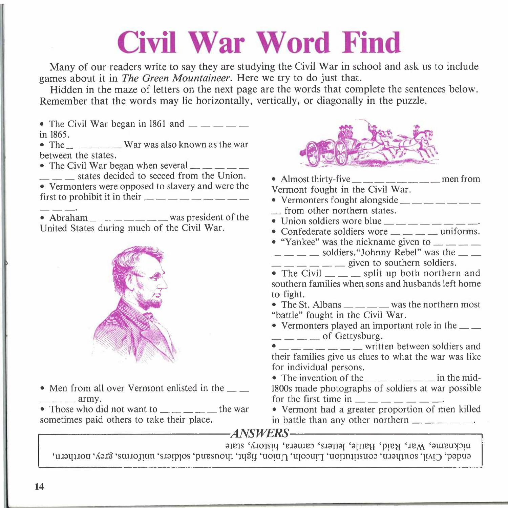## **Civil War Word Find**

Many of our readers write to say they are studying the Civil War in school and ask us to include games about it in *The Green Mountaineer.* Here we try to do just that.

Hidden in the maze of letters on the next page are the words that complete the sentences below. Remember that the words may lie horizontally, vertically, or diagonally in the puzzle.

• The Civil War began in 1861 and  $\_\_\_\_\_\_\_\_\_\_\_\_\_\_$ in 1865.

• The War was also known as the war between the states.

• The Civil War began when several  $\frac{1}{1}$   $\frac{1}{1}$   $\frac{1}{1}$   $\frac{1}{1}$ 

 $\frac{1}{1}$  states decided to seceed from the Union.

• Vermonters were opposed to slavery and were the first to prohibit it in their  $\frac{1}{1}$   $\frac{1}{1}$   $\frac{1}{1}$   $\frac{1}{1}$   $\frac{1}{1}$   $\frac{1}{1}$   $\frac{1}{1}$   $\frac{1}{1}$   $\frac{1}{1}$   $\frac{1}{1}$   $\frac{1}{1}$   $\frac{1}{1}$   $\frac{1}{1}$   $\frac{1}{1}$   $\frac{1}{1}$   $\frac{1}{1}$   $\frac{1}{1}$   $\frac{1}{1}$   $\frac{1}{1}$ 

• Abraham  $\frac{1}{\sqrt{1-\frac{1}{\sqrt{1-\frac{1}{\sqrt{1-\frac{1}{\sqrt{1-\frac{1}{\sqrt{1-\frac{1}{\sqrt{1-\frac{1}{\sqrt{1-\frac{1}{\sqrt{1-\frac{1}{\sqrt{1-\frac{1}{\sqrt{1-\frac{1}{\sqrt{1-\frac{1}{\sqrt{1-\frac{1}{\sqrt{1-\frac{1}{\sqrt{1-\frac{1}{\sqrt{1-\frac{1}{\sqrt{1-\frac{1}{\sqrt{1-\frac{1}{\sqrt{1-\frac{1}{\sqrt{1-\frac{1}{\sqrt{1-\frac{1}{\sqrt{1-\frac{1}{\sqrt{1-\frac{1}{\sqrt{1-\frac{$ United States during much of the Civil War.



- Men from all over Vermont enlisted in the  $\_\_$ • Men from all  $\frac{\text{m}}{\text{m} - \text{m}}$  army.
- in battle than any other northern . *------------ANSWERS-------------.*  • Those who did not want to  $\frac{1}{1}$  =  $\frac{1}{1}$  the war sometimes paid others to take their place.



- Almost thirty-five  $\frac{m}{1}$  men from Vermont fought in the Civil War.
- 
- Vermonters fought alongside  $\_\_\_\_\_\_\_\_\_\_\_\_\_\_\_\_\_$ \_ from other northern states.
- Union soldiers wore blue  $\frac{1}{1}$   $\frac{1}{1}$   $\frac{1}{1}$   $\frac{1}{1}$   $\frac{1}{1}$   $\frac{1}{1}$   $\frac{1}{1}$   $\frac{1}{1}$   $\frac{1}{1}$   $\frac{1}{1}$   $\frac{1}{1}$   $\frac{1}{1}$   $\frac{1}{1}$   $\frac{1}{1}$   $\frac{1}{1}$   $\frac{1}{1}$   $\frac{1}{1}$   $\frac{1}{1}$   $\frac{1}{1}$   $\frac{$
- Confederate soldiers wore  $\_\_\_\_\_\_\_\$  uniforms.
- "Yankee" was the nickname given to  $\frac{1}{2}$  =  $\frac{1}{2}$  $\equiv$   $\equiv$   $\equiv$  soldiers. "Johnny Rebel" was the  $\equiv$   $\equiv$

 $\frac{1}{1}$  =  $\frac{1}{1}$  =  $\frac{1}{1}$  given to southern soldiers.

• The Civil  $\frac{1}{1}$  split up both northern and southern families when sons and husbands left home to fight.

• The St. Albans was the northern most "battle" fought in the Civil War.

• Vermonters played an important role in the  $\equiv$   $\equiv$  $\_\_\_\_\_\_\_\$ of Gettysburg.

 $\bullet$   $\_\_\_\_\_\_\_\_\_\_\_\_\_\_\_\_\_\_\_$  written between soldiers and their families give us clues to what the war was like for individual persons.

• The invention of the  $\_\_$   $\_\_$   $\_\_$  in the mid-1800s made photographs of soldiers at war possible for the first time in  $\frac{1}{1}$   $\frac{1}{1}$   $\frac{1}{1}$   $\frac{1}{1}$   $\frac{1}{1}$   $\frac{1}{1}$   $\frac{1}{1}$   $\frac{1}{1}$   $\frac{1}{1}$   $\frac{1}{1}$   $\frac{1}{1}$   $\frac{1}{1}$   $\frac{1}{1}$   $\frac{1}{1}$   $\frac{1}{1}$   $\frac{1}{1}$   $\frac{1}{1}$   $\frac{1}{1}$   $\frac{1}{1}$   $\frac{1}{1}$ 

• Vermont had a greater proportion of men killed

mckname, War, Kaid, Battle, letters, camera, history, state  $'$ CIAJ' our 'AJJ'. a 'AJJ' Your 'un 'a 'ujoo' 'puisu' 'usquo' 'usoo' 'ujoo' 'uujoo' 'usoqi 'usoqi 'uqoqmos 'i